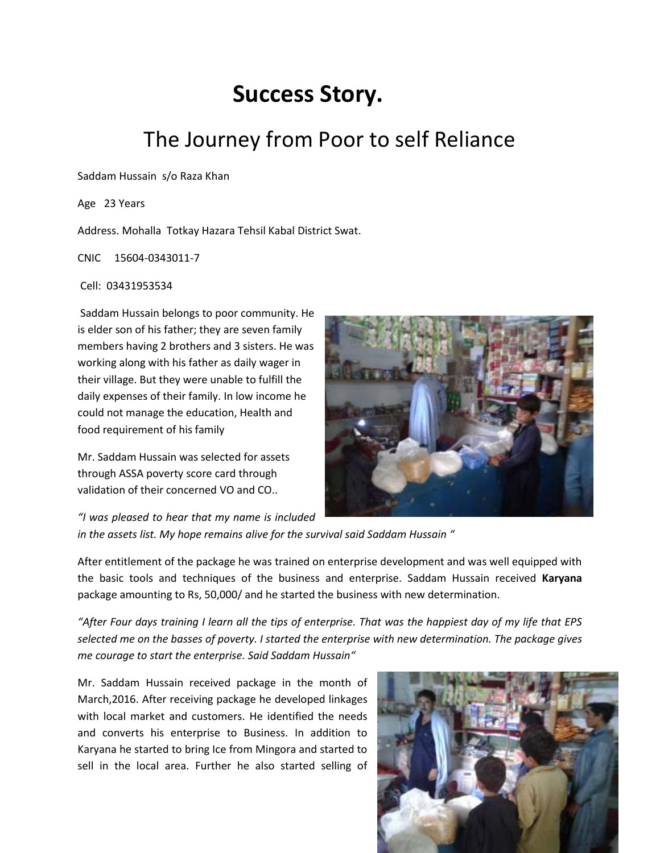## **Success Story.**

## The Journey from Poor to self Reliance

Saddam Hussain s/o Raza Khan

Age 23 Years

Address. Mohalla Totkay Hazara Tehsil Kabal District Swat.

CNIC 15604-0343011-7

Cell: 03431953534

Saddam Hussain belongs to poor community. He is elder son of his father; they are seven family members having 2 brothers and 3 sisters. He was working along with his father as daily wager in their village. But they were unable to fulfill the daily expenses of their family. In low income he could not manage the education, Health and food requirement of his family

Mr. Saddam Hussain was selected for assets through ASSA poverty score card through validation of their concerned VO and CO..

*"I was pleased to hear that my name is included* 



*in the assets list. My hope remains alive for the survival said Saddam Hussain "*

After entitlement of the package he was trained on enterprise development and was well equipped with the basic tools and techniques of the business and enterprise. Saddam Hussain received **Karyana** package amounting to Rs, 50,000/ and he started the business with new determination.

*"After Four days training I learn all the tips of enterprise. That was the happiest day of my life that EPS selected me on the basses of poverty. I started the enterprise with new determination. The package gives me courage to start the enterprise. Said Saddam Hussain"*

Mr. Saddam Hussain received package in the month of March,2016. After receiving package he developed linkages with local market and customers. He identified the needs and converts his enterprise to Business. In addition to Karyana he started to bring Ice from Mingora and started to sell in the local area. Further he also started selling of